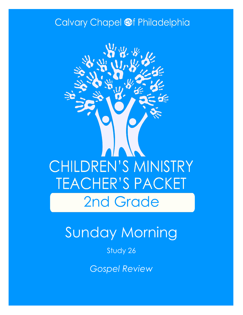#### Calvary Chapel @f Philadelphia



## Sunday Morning

Study 26

*Gospel Review*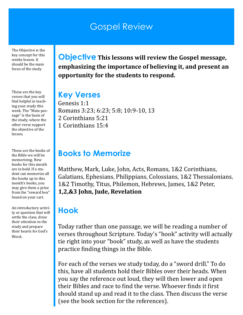#### Gospel Review

The Objective is the key concept for this weeks lesson. It should be the main focus of the study

These are the key verses that you will find helpful in teaching your study this week. The "Main passage" is the basis of the study, where the other verse support the objective of the lesson.

These are the books of the Bible we will be memorizing. New books for this month are in bold. If a student can memorize all the books up to this month's books, you may give them a prize from the "reward box" found on your cart.

An introductory activity or question that will settle the class, draw their attention to the study and prepare their hearts for God's Word.

**Objective This lessons will review the Gospel message, emphasizing the importance of believing it, and present an opportunity for the students to respond.**

#### **Key Verses**

Genesis 1:1 Romans 3:23; 6:23; 5:8; 10:9-10, 13 2 Corinthians 5:21 1 Corinthians 15:4

#### **Books to Memorize**

Matthew, Mark, Luke, John, Acts, Romans, 1&2 Corinthians, Galatians, Ephesians, Philippians, Colossians, 1&2 Thessalonians, 1&2 Timothy, Titus, Philemon, Hebrews, James, 1&2 Peter, **1,2,&3 John, Jude, Revelation**

#### **Hook**

Today rather than one passage, we will be reading a number of verses throughout Scripture. Today's "hook" activity will actually tie right into your "book" study, as well as have the students practice finding things in the Bible.

For each of the verses we study today, do a "sword drill." To do this, have all students hold their Bibles over their heads. When you say the reference out loud, they will then lower and open their Bibles and race to find the verse. Whoever finds it first should stand up and read it to the class. Then discuss the verse (see the book section for the references).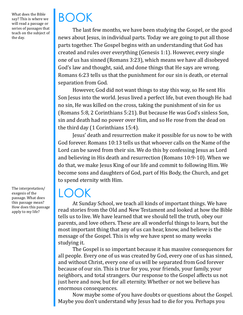What does the Bible say? This is where we will read a passage or series of passages that teach on the subject of the day.

The interpretation/ exegesis of the passage. What does this passage mean? How does this passage apply to my life?

## BOOK

The last few months, we have been studying the Gospel, or the good news about Jesus, in individual parts. Today we are going to put all those parts together. The Gospel begins with an understanding that God has created and rules over everything (Genesis 1:1). However, every single one of us has sinned (Romans 3:23), which means we have all disobeyed God's law and thought, said, and done things that He says are wrong. Romans 6:23 tells us that the punishment for our sin is death, or eternal separation from God.

However, God did not want things to stay this way, so He sent His Son Jesus into the world. Jesus lived a perfect life, but even though He had no sin, He was killed on the cross, taking the punishment of sin for us (Romans 5:8, 2 Corinthians 5:21). But because He was God's sinless Son, sin and death had no power over Him, and so He rose from the dead on the third day (1 Corinthians 15:4).

Jesus' death and resurrection make it possible for us now to be with God forever. Romans 10:13 tells us that whoever calls on the Name of the Lord can be saved from their sin. We do this by confessing Jesus as Lord and believing in His death and resurrection (Romans 10:9-10). When we do that, we make Jesus King of our life and commit to following Him. We become sons and daughters of God, part of His Body, the Church, and get to spend eternity with Him.

### $\mathsf{L}(\mathcal{C})$

At Sunday School, we teach all kinds of important things. We have read stories from the Old and New Testament and looked at how the Bible tells us to live. We have learned that we should tell the truth, obey our parents, and love others. These are all wonderful things to learn, but the most important thing that any of us can hear, know, and believe is the message of the Gospel. This is why we have spent so many weeks studying it.

The Gospel is so important because it has massive consequences for all people. Every one of us was created by God, every one of us has sinned, and without Christ, every one of us will be separated from God forever because of our sin. This is true for you, your friends, your family, your neighbors, and total strangers. Our response to the Gospel affects us not just here and now, but for all eternity. Whether or not we believe has enormous consequences.

Now maybe some of you have doubts or questions about the Gospel. Maybe you don't understand why Jesus had to die for you. Perhaps you